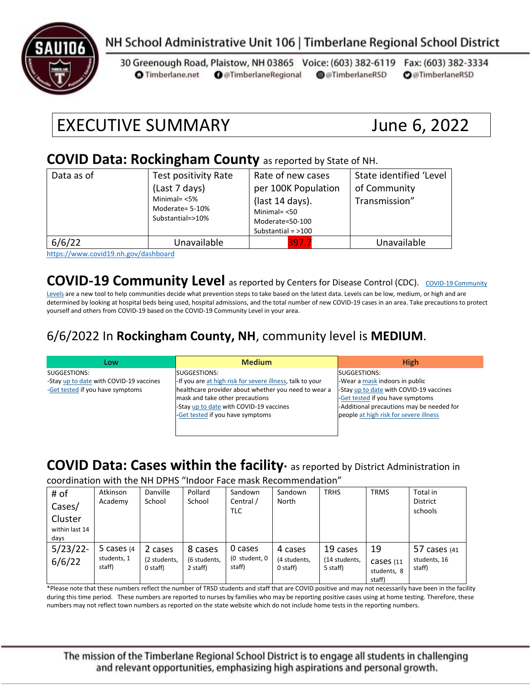

## NH School Administrative Unit 106 | Timberlane Regional School District

30 Greenough Road, Plaistow, NH 03865 Voice: (603) 382-6119 Fax: (603) 382-3334 **O** Timberlane.net **O** @TimberlaneRegional @@TimberlaneRSD **O**@TimberlaneRSD

# EXECUTIVE SUMMARY June 6, 2022

#### **COVID Data: Rockingham County** as reported by State of NH.

| Data as of | Test positivity Rate<br>(Last 7 days)<br>Minimal= $<$ 5%<br>Moderate= 5-10%<br>Substantial=>10% | Rate of new cases<br>per 100K Population<br>(last 14 days).<br>Minimal $=$ <50<br>Moderate=50-100<br>Substantial = $>100$ | State identified 'Level<br>of Community<br>Transmission" |
|------------|-------------------------------------------------------------------------------------------------|---------------------------------------------------------------------------------------------------------------------------|----------------------------------------------------------|
| 6/6/22     | Unavailable                                                                                     | 397.7                                                                                                                     | Unavailable                                              |

<https://www.covid19.nh.gov/dashboard>

### **[COVID-19 Community](https://www.cdc.gov/coronavirus/2019-ncov/science/community-levels.html) Level** as reported by Centers for Disease Control (CDC). COVID-19 Community

[Levels](https://www.cdc.gov/coronavirus/2019-ncov/science/community-levels.html) are a new tool to help communities decide what prevention steps to take based on the latest data. Levels can be low, medium, or high and are determined by looking at hospital beds being used, hospital admissions, and the total number of new COVID-19 cases in an area. Take precautions to protect yourself and others from COVID-19 based on the COVID-19 Community Level in your area.

#### 6/6/2022 In **Rockingham County, NH**, community level is **MEDIUM**.

| Low                                     | <b>Medium</b>                                             | <b>High</b>                               |
|-----------------------------------------|-----------------------------------------------------------|-------------------------------------------|
| SUGGESTIONS:                            | SUGGESTIONS:                                              | SUGGESTIONS:                              |
| -Stay up to date with COVID-19 vaccines | -If you are at high risk for severe illness, talk to your | -Wear a mask indoors in public            |
| -Get tested if you have symptoms        | healthcare provider about whether you need to wear a      | -Stay up to date with COVID-19 vaccines   |
|                                         | mask and take other precautions                           | -Get tested if you have symptoms          |
|                                         | -Stay up to date with COVID-19 vaccines                   | -Additional precautions may be needed for |
|                                         | -Get tested if you have symptoms                          | people at high risk for severe illness    |
|                                         |                                                           |                                           |
|                                         |                                                           |                                           |

## **COVID Data: Cases within the facility\*** as reported by District Administration in

coordination with the NH DPHS "Indoor Face mask Recommendation"

| # of<br>Cases/<br>Cluster<br>within last 14<br>days | Atkinson<br>Academy                    | Danville<br>School                  | Pollard<br>School                   | Sandown<br>Central /<br><b>TLC</b> | Sandown<br>North                    | <b>TRHS</b>                           | <b>TRMS</b>                              | Total in<br><b>District</b><br>schools |
|-----------------------------------------------------|----------------------------------------|-------------------------------------|-------------------------------------|------------------------------------|-------------------------------------|---------------------------------------|------------------------------------------|----------------------------------------|
| $5/23/22$ -<br>6/6/22                               | 5 cases $(4)$<br>students, 1<br>staff) | 2 cases<br>(2 students,<br>0 staff) | 8 cases<br>(6 students,<br>2 staff) | 0 cases<br>(0 student, 0<br>staff) | 4 cases<br>(4 students,<br>0 staff) | 19 cases<br>(14 students,<br>5 staff) | 19<br>Cases (11<br>students, 8<br>staff) | 57 cases (41<br>students, 16<br>staff) |

\*Please note that these numbers reflect the number of TRSD students and staff that are COVID positive and may not necessarily have been in the facility during this time period. These numbers are reported to nurses by families who may be reporting positive cases using at home testing. Therefore, these numbers may not reflect town numbers as reported on the state website which do not include home tests in the reporting numbers.

The mission of the Timberlane Regional School District is to engage all students in challenging and relevant opportunities, emphasizing high aspirations and personal growth.